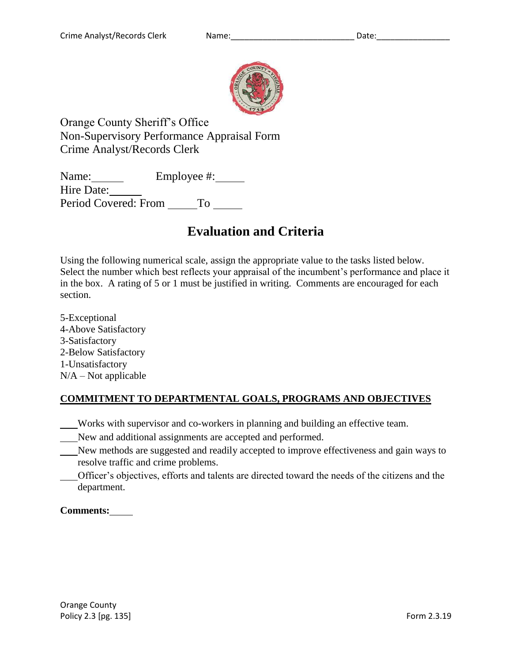

Orange County Sheriff's Office Non-Supervisory Performance Appraisal Form Crime Analyst/Records Clerk

Name: Employee #: Hire Date: Period Covered: From To

# **Evaluation and Criteria**

Using the following numerical scale, assign the appropriate value to the tasks listed below. Select the number which best reflects your appraisal of the incumbent's performance and place it in the box. A rating of 5 or 1 must be justified in writing. Comments are encouraged for each section.

5-Exceptional 4-Above Satisfactory 3-Satisfactory 2-Below Satisfactory 1-Unsatisfactory  $N/A - Not$  applicable

### **COMMITMENT TO DEPARTMENTAL GOALS, PROGRAMS AND OBJECTIVES**

Works with supervisor and co-workers in planning and building an effective team.

- New and additional assignments are accepted and performed.
- New methods are suggested and readily accepted to improve effectiveness and gain ways to resolve traffic and crime problems.
- Officer's objectives, efforts and talents are directed toward the needs of the citizens and the department.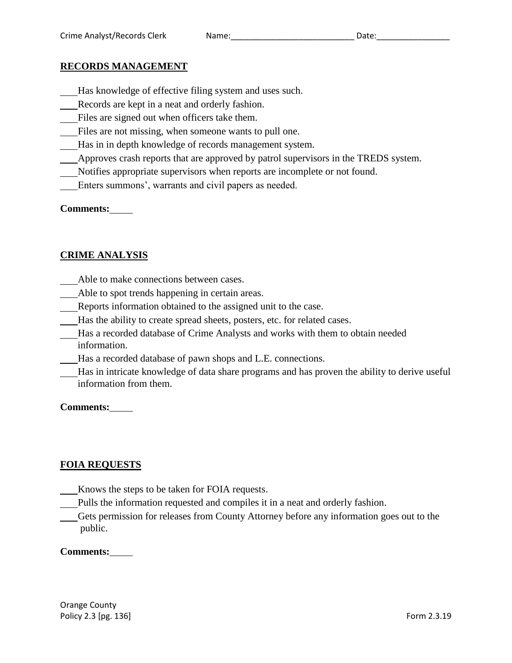#### **RECORDS MANAGEMENT**

- Has knowledge of effective filing system and uses such.
- Records are kept in a neat and orderly fashion.
- Files are signed out when officers take them.
- Files are not missing, when someone wants to pull one.
- Has in in depth knowledge of records management system.
- Approves crash reports that are approved by patrol supervisors in the TREDS system.
- Notifies appropriate supervisors when reports are incomplete or not found.
- Enters summons', warrants and civil papers as needed.

#### **Comments:**

### **CRIME ANALYSIS**

- Able to make connections between cases.
- Able to spot trends happening in certain areas.
- Reports information obtained to the assigned unit to the case.
- Has the ability to create spread sheets, posters, etc. for related cases.
- Has a recorded database of Crime Analysts and works with them to obtain needed information.
- Has a recorded database of pawn shops and L.E. connections.
- Has in intricate knowledge of data share programs and has proven the ability to derive useful information from them.

**Comments:**

### **FOIA REQUESTS**

- Knows the steps to be taken for FOIA requests.
- Pulls the information requested and compiles it in a neat and orderly fashion.
- Gets permission for releases from County Attorney before any information goes out to the public.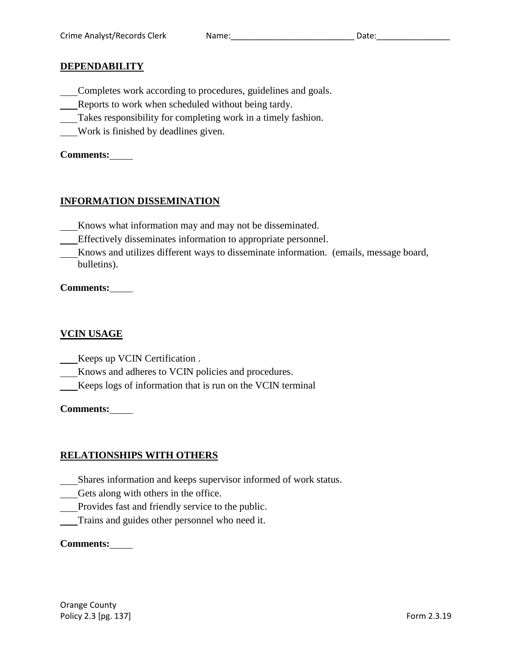#### **DEPENDABILITY**

- Completes work according to procedures, guidelines and goals.
- Reports to work when scheduled without being tardy.
- Takes responsibility for completing work in a timely fashion.
- Work is finished by deadlines given.

## **Comments:**

## **INFORMATION DISSEMINATION**

- Knows what information may and may not be disseminated.
- Effectively disseminates information to appropriate personnel.
- Knows and utilizes different ways to disseminate information. (emails, message board, bulletins).

## **Comments:**

## **VCIN USAGE**

- Keeps up VCIN Certification .
- Knows and adheres to VCIN policies and procedures.
- Keeps logs of information that is run on the VCIN terminal

## **Comments:**

## **RELATIONSHIPS WITH OTHERS**

- Shares information and keeps supervisor informed of work status.
- Gets along with others in the office.
- Provides fast and friendly service to the public.
- Trains and guides other personnel who need it.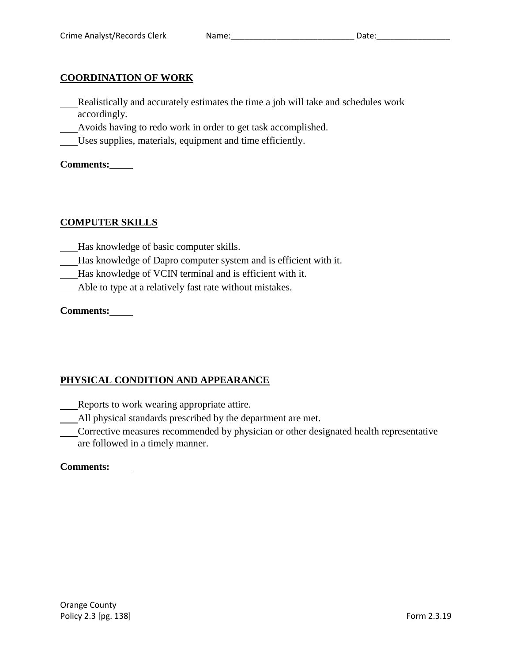#### **COORDINATION OF WORK**

- Realistically and accurately estimates the time a job will take and schedules work accordingly.
- Avoids having to redo work in order to get task accomplished.
- Uses supplies, materials, equipment and time efficiently.

**Comments:**

#### **COMPUTER SKILLS**

- Has knowledge of basic computer skills.
- Has knowledge of Dapro computer system and is efficient with it.
- Has knowledge of VCIN terminal and is efficient with it.
- Able to type at a relatively fast rate without mistakes.

**Comments:**

## **PHYSICAL CONDITION AND APPEARANCE**

Reports to work wearing appropriate attire.

All physical standards prescribed by the department are met.

Corrective measures recommended by physician or other designated health representative are followed in a timely manner.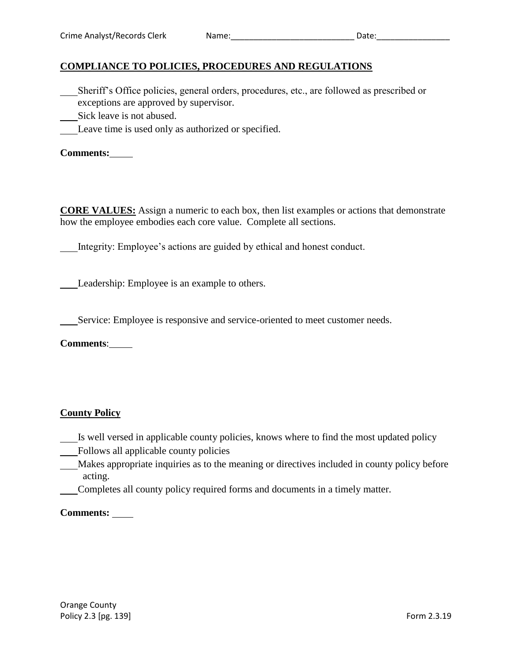### **COMPLIANCE TO POLICIES, PROCEDURES AND REGULATIONS**

- Sheriff's Office policies, general orders, procedures, etc., are followed as prescribed or exceptions are approved by supervisor.
- Sick leave is not abused.
- Leave time is used only as authorized or specified.

**Comments:**

**CORE VALUES:** Assign a numeric to each box, then list examples or actions that demonstrate how the employee embodies each core value. Complete all sections.

Integrity: Employee's actions are guided by ethical and honest conduct.

Leadership: Employee is an example to others.

Service: Employee is responsive and service-oriented to meet customer needs.

**Comments**:

#### **County Policy**

- Is well versed in applicable county policies, knows where to find the most updated policy
- Follows all applicable county policies
- Makes appropriate inquiries as to the meaning or directives included in county policy before acting.
- Completes all county policy required forms and documents in a timely matter.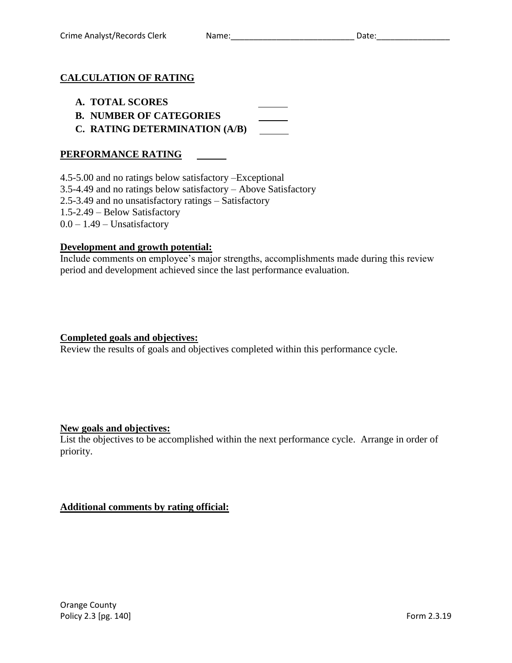#### **CALCULATION OF RATING**

- **A. TOTAL SCORES**
- **B. NUMBER OF CATEGORIES**
- **C. RATING DETERMINATION (A/B)**

#### **PERFORMANCE RATING**

4.5-5.00 and no ratings below satisfactory –Exceptional

3.5-4.49 and no ratings below satisfactory – Above Satisfactory

2.5-3.49 and no unsatisfactory ratings – Satisfactory

1.5-2.49 – Below Satisfactory

 $0.0 - 1.49$  – Unsatisfactory

#### **Development and growth potential:**

Include comments on employee's major strengths, accomplishments made during this review period and development achieved since the last performance evaluation.

#### **Completed goals and objectives:**

Review the results of goals and objectives completed within this performance cycle.

#### **New goals and objectives:**

List the objectives to be accomplished within the next performance cycle. Arrange in order of priority.

#### **Additional comments by rating official:**